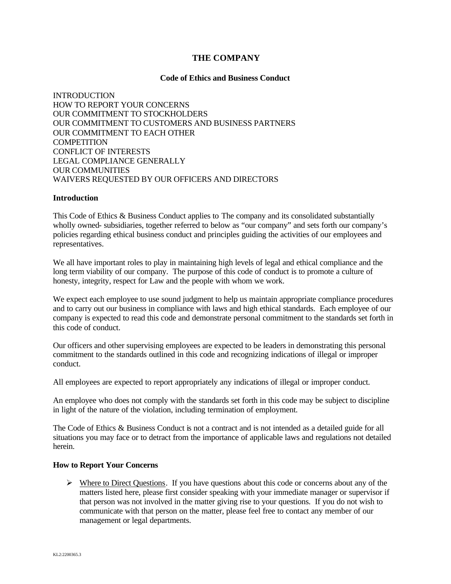## **THE COMPANY**

#### **Code of Ethics and Business Conduct**

INTRODUCTION HOW TO REPORT YOUR CONCERNS OUR COMMITMENT TO STOCKHOLDERS OUR COMMITMENT TO CUSTOMERS AND BUSINESS PARTNERS OUR COMMITMENT TO EACH OTHER **COMPETITION** CONFLICT OF INTERESTS LEGAL COMPLIANCE GENERALLY OUR COMMUNITIES WAIVERS REQUESTED BY OUR OFFICERS AND DIRECTORS

#### **Introduction**

This Code of Ethics & Business Conduct applies to The company and its consolidated substantially wholly owned- subsidiaries, together referred to below as "our company" and sets forth our company's policies regarding ethical business conduct and principles guiding the activities of our employees and representatives.

We all have important roles to play in maintaining high levels of legal and ethical compliance and the long term viability of our company. The purpose of this code of conduct is to promote a culture of honesty, integrity, respect for Law and the people with whom we work.

We expect each employee to use sound judgment to help us maintain appropriate compliance procedures and to carry out our business in compliance with laws and high ethical standards. Each employee of our company is expected to read this code and demonstrate personal commitment to the standards set forth in this code of conduct.

Our officers and other supervising employees are expected to be leaders in demonstrating this personal commitment to the standards outlined in this code and recognizing indications of illegal or improper conduct.

All employees are expected to report appropriately any indications of illegal or improper conduct.

An employee who does not comply with the standards set forth in this code may be subject to discipline in light of the nature of the violation, including termination of employment.

The Code of Ethics & Business Conduct is not a contract and is not intended as a detailed guide for all situations you may face or to detract from the importance of applicable laws and regulations not detailed herein.

#### **How to Report Your Concerns**

 $\triangleright$  Where to Direct Questions. If you have questions about this code or concerns about any of the matters listed here, please first consider speaking with your immediate manager or supervisor if that person was not involved in the matter giving rise to your questions. If you do not wish to communicate with that person on the matter, please feel free to contact any member of our management or legal departments.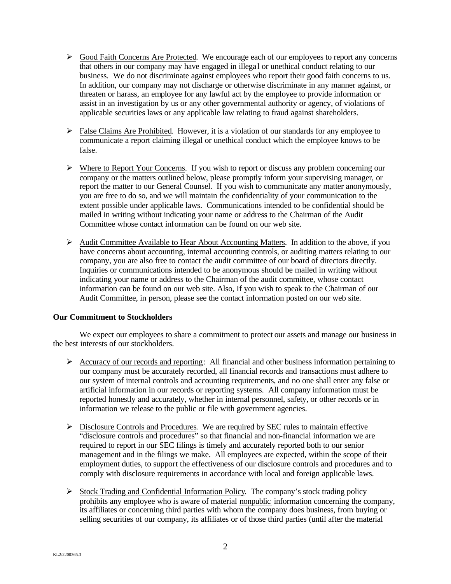- $\triangleright$  Good Faith Concerns Are Protected. We encourage each of our employees to report any concerns that others in our company may have engaged in illega l or unethical conduct relating to our business. We do not discriminate against employees who report their good faith concerns to us. In addition, our company may not discharge or otherwise discriminate in any manner against, or threaten or harass, an employee for any lawful act by the employee to provide information or assist in an investigation by us or any other governmental authority or agency, of violations of applicable securities laws or any applicable law relating to fraud against shareholders.
- $\triangleright$  False Claims Are Prohibited. However, it is a violation of our standards for any employee to communicate a report claiming illegal or unethical conduct which the employee knows to be false.
- $\triangleright$  Where to Report Your Concerns. If you wish to report or discuss any problem concerning our company or the matters outlined below, please promptly inform your supervising manager, or report the matter to our General Counsel. If you wish to communicate any matter anonymously, you are free to do so, and we will maintain the confidentiality of your communication to the extent possible under applicable laws. Communications intended to be confidential should be mailed in writing without indicating your name or address to the Chairman of the Audit Committee whose contact information can be found on our web site.
- $\triangleright$  Audit Committee Available to Hear About Accounting Matters. In addition to the above, if you have concerns about accounting, internal accounting controls, or auditing matters relating to our company, you are also free to contact the audit committee of our board of directors directly. Inquiries or communications intended to be anonymous should be mailed in writing without indicating your name or address to the Chairman of the audit committee, whose contact information can be found on our web site. Also, If you wish to speak to the Chairman of our Audit Committee, in person, please see the contact information posted on our web site.

### **Our Commitment to Stockholders**

We expect our employees to share a commitment to protect our assets and manage our business in the best interests of our stockholders.

- $\triangleright$  Accuracy of our records and reporting: All financial and other business information pertaining to our company must be accurately recorded, all financial records and transactions must adhere to our system of internal controls and accounting requirements, and no one shall enter any false or artificial information in our records or reporting systems. All company information must be reported honestly and accurately, whether in internal personnel, safety, or other records or in information we release to the public or file with government agencies.
- $\triangleright$  Disclosure Controls and Procedures. We are required by SEC rules to maintain effective "disclosure controls and procedures" so that financial and non-financial information we are required to report in our SEC filings is timely and accurately reported both to our senior management and in the filings we make. All employees are expected, within the scope of their employment duties, to support the effectiveness of our disclosure controls and procedures and to comply with disclosure requirements in accordance with local and foreign applicable laws.
- $\triangleright$  Stock Trading and Confidential Information Policy. The company's stock trading policy prohibits any employee who is aware of material nonpublic information concerning the company, its affiliates or concerning third parties with whom the company does business, from buying or selling securities of our company, its affiliates or of those third parties (until after the material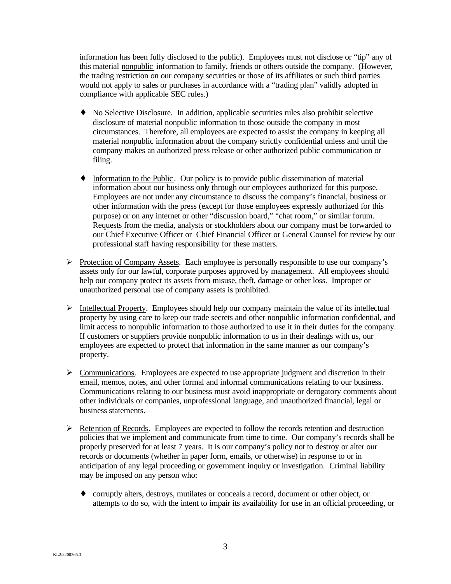information has been fully disclosed to the public). Employees must not disclose or "tip" any of this material nonpublic information to family, friends or others outside the company. (However, the trading restriction on our company securities or those of its affiliates or such third parties would not apply to sales or purchases in accordance with a "trading plan" validly adopted in compliance with applicable SEC rules.)

- ♦ No Selective Disclosure. In addition, applicable securities rules also prohibit selective disclosure of material nonpublic information to those outside the company in most circumstances. Therefore, all employees are expected to assist the company in keeping all material nonpublic information about the company strictly confidential unless and until the company makes an authorized press release or other authorized public communication or filing.
- ♦ Information to the Public . Our policy is to provide public dissemination of material information about our business only through our employees authorized for this purpose. Employees are not under any circumstance to discuss the company's financial, business or other information with the press (except for those employees expressly authorized for this purpose) or on any internet or other "discussion board," "chat room," or similar forum. Requests from the media, analysts or stockholders about our company must be forwarded to our Chief Executive Officer or Chief Financial Officer or General Counsel for review by our professional staff having responsibility for these matters.
- $\triangleright$  Protection of Company Assets. Each employee is personally responsible to use our company's assets only for our lawful, corporate purposes approved by management. All employees should help our company protect its assets from misuse, theft, damage or other loss. Improper or unauthorized personal use of company assets is prohibited.
- $\triangleright$  Intellectual Property. Employees should help our company maintain the value of its intellectual property by using care to keep our trade secrets and other nonpublic information confidential, and limit access to nonpublic information to those authorized to use it in their duties for the company. If customers or suppliers provide nonpublic information to us in their dealings with us, our employees are expected to protect that information in the same manner as our company's property.
- $\triangleright$  Communications. Employees are expected to use appropriate judgment and discretion in their email, memos, notes, and other formal and informal communications relating to our business. Communications relating to our business must avoid inappropriate or derogatory comments about other individuals or companies, unprofessional language, and unauthorized financial, legal or business statements.
- $\triangleright$  Retention of Records. Employees are expected to follow the records retention and destruction policies that we implement and communicate from time to time. Our company's records shall be properly preserved for at least 7 years. It is our company's policy not to destroy or alter our records or documents (whether in paper form, emails, or otherwise) in response to or in anticipation of any legal proceeding or government inquiry or investigation. Criminal liability may be imposed on any person who:
	- ♦ corruptly alters, destroys, mutilates or conceals a record, document or other object, or attempts to do so, with the intent to impair its availability for use in an official proceeding, or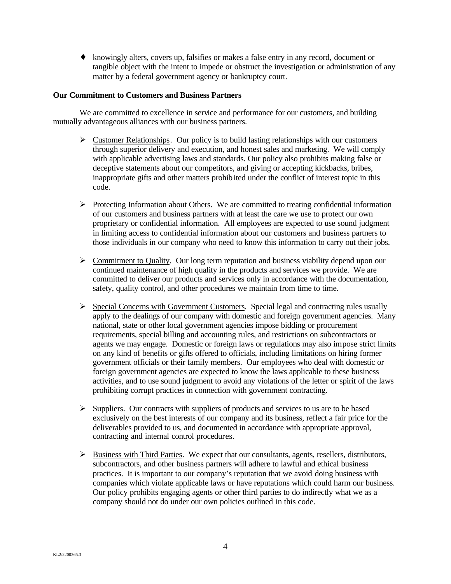♦ knowingly alters, covers up, falsifies or makes a false entry in any record, document or tangible object with the intent to impede or obstruct the investigation or administration of any matter by a federal government agency or bankruptcy court.

# **Our Commitment to Customers and Business Partners**

We are committed to excellence in service and performance for our customers, and building mutually advantageous alliances with our business partners.

- $\triangleright$  Customer Relationships. Our policy is to build lasting relationships with our customers through superior delivery and execution, and honest sales and marketing. We will comply with applicable advertising laws and standards. Our policy also prohibits making false or deceptive statements about our competitors, and giving or accepting kickbacks, bribes, inappropriate gifts and other matters prohibited under the conflict of interest topic in this code.
- $\triangleright$  Protecting Information about Others. We are committed to treating confidential information of our customers and business partners with at least the care we use to protect our own proprietary or confidential information. All employees are expected to use sound judgment in limiting access to confidential information about our customers and business partners to those individuals in our company who need to know this information to carry out their jobs.
- $\triangleright$  Commitment to Quality. Our long term reputation and business viability depend upon our continued maintenance of high quality in the products and services we provide. We are committed to deliver our products and services only in accordance with the documentation, safety, quality control, and other procedures we maintain from time to time.
- $\triangleright$  Special Concerns with Government Customers. Special legal and contracting rules usually apply to the dealings of our company with domestic and foreign government agencies. Many national, state or other local government agencies impose bidding or procurement requirements, special billing and accounting rules, and restrictions on subcontractors or agents we may engage. Domestic or foreign laws or regulations may also impose strict limits on any kind of benefits or gifts offered to officials, including limitations on hiring former government officials or their family members. Our employees who deal with domestic or foreign government agencies are expected to know the laws applicable to these business activities, and to use sound judgment to avoid any violations of the letter or spirit of the laws prohibiting corrupt practices in connection with government contracting.
- $\triangleright$  Suppliers. Our contracts with suppliers of products and services to us are to be based exclusively on the best interests of our company and its business, reflect a fair price for the deliverables provided to us, and documented in accordance with appropriate approval, contracting and internal control procedures.
- $\triangleright$  Business with Third Parties. We expect that our consultants, agents, resellers, distributors, subcontractors, and other business partners will adhere to lawful and ethical business practices. It is important to our company's reputation that we avoid doing business with companies which violate applicable laws or have reputations which could harm our business. Our policy prohibits engaging agents or other third parties to do indirectly what we as a company should not do under our own policies outlined in this code.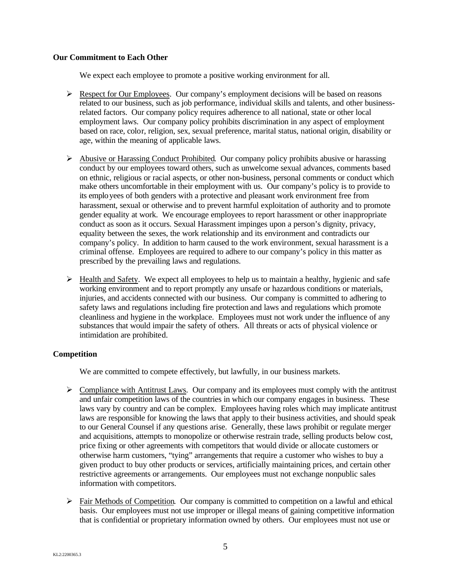### **Our Commitment to Each Other**

We expect each employee to promote a positive working environment for all.

- $\triangleright$  Respect for Our Employees. Our company's employment decisions will be based on reasons related to our business, such as job performance, individual skills and talents, and other businessrelated factors. Our company policy requires adherence to all national, state or other local employment laws. Our company policy prohibits discrimination in any aspect of employment based on race, color, religion, sex, sexual preference, marital status, national origin, disability or age, within the meaning of applicable laws.
- $\triangleright$  Abusive or Harassing Conduct Prohibited. Our company policy prohibits abusive or harassing conduct by our employees toward others, such as unwelcome sexual advances, comments based on ethnic, religious or racial aspects, or other non-business, personal comments or conduct which make others uncomfortable in their employment with us. Our company's policy is to provide to its employees of both genders with a protective and pleasant work environment free from harassment, sexual or otherwise and to prevent harmful exploitation of authority and to promote gender equality at work. We encourage employees to report harassment or other inappropriate conduct as soon as it occurs. Sexual Harassment impinges upon a person's dignity, privacy, equality between the sexes, the work relationship and its environment and contradicts our company's policy. In addition to harm caused to the work environment, sexual harassment is a criminal offense. Employees are required to adhere to our company's policy in this matter as prescribed by the prevailing laws and regulations.
- $\triangleright$  Health and Safety. We expect all employees to help us to maintain a healthy, hygienic and safe working environment and to report promptly any unsafe or hazardous conditions or materials, injuries, and accidents connected with our business. Our company is committed to adhering to safety laws and regulations including fire protection and laws and regulations which promote cleanliness and hygiene in the workplace. Employees must not work under the influence of any substances that would impair the safety of others. All threats or acts of physical violence or intimidation are prohibited.

### **Competition**

We are committed to compete effectively, but lawfully, in our business markets.

- $\triangleright$  Compliance with Antitrust Laws. Our company and its employees must comply with the antitrust and unfair competition laws of the countries in which our company engages in business. These laws vary by country and can be complex. Employees having roles which may implicate antitrust laws are responsible for knowing the laws that apply to their business activities, and should speak to our General Counsel if any questions arise. Generally, these laws prohibit or regulate merger and acquisitions, attempts to monopolize or otherwise restrain trade, selling products below cost, price fixing or other agreements with competitors that would divide or allocate customers or otherwise harm customers, "tying" arrangements that require a customer who wishes to buy a given product to buy other products or services, artificially maintaining prices, and certain other restrictive agreements or arrangements. Our employees must not exchange nonpublic sales information with competitors.
- $\triangleright$  Fair Methods of Competition. Our company is committed to competition on a lawful and ethical basis. Our employees must not use improper or illegal means of gaining competitive information that is confidential or proprietary information owned by others. Our employees must not use or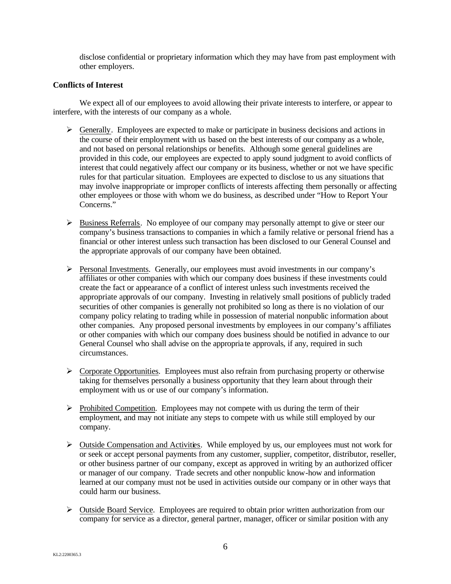disclose confidential or proprietary information which they may have from past employment with other employers.

#### **Conflicts of Interest**

We expect all of our employees to avoid allowing their private interests to interfere, or appear to interfere, with the interests of our company as a whole.

- $\triangleright$  Generally. Employees are expected to make or participate in business decisions and actions in the course of their employment with us based on the best interests of our company as a whole, and not based on personal relationships or benefits. Although some general guidelines are provided in this code, our employees are expected to apply sound judgment to avoid conflicts of interest that could negatively affect our company or its business, whether or not we have specific rules for that particular situation. Employees are expected to disclose to us any situations that may involve inappropriate or improper conflicts of interests affecting them personally or affecting other employees or those with whom we do business, as described under "How to Report Your Concerns."
- ÿ Business Referrals. No employee of our company may personally attempt to give or steer our company's business transactions to companies in which a family relative or personal friend has a financial or other interest unless such transaction has been disclosed to our General Counsel and the appropriate approvals of our company have been obtained.
- ÿ Personal Investments. Generally, our employees must avoid investments in our company's affiliates or other companies with which our company does business if these investments could create the fact or appearance of a conflict of interest unless such investments received the appropriate approvals of our company. Investing in relatively small positions of publicly traded securities of other companies is generally not prohibited so long as there is no violation of our company policy relating to trading while in possession of material nonpublic information about other companies. Any proposed personal investments by employees in our company's affiliates or other companies with which our company does business should be notified in advance to our General Counsel who shall advise on the appropria te approvals, if any, required in such circumstances.
- $\triangleright$  Corporate Opportunities. Employees must also refrain from purchasing property or otherwise taking for themselves personally a business opportunity that they learn about through their employment with us or use of our company's information.
- $\triangleright$  Prohibited Competition. Employees may not compete with us during the term of their employment, and may not initiate any steps to compete with us while still employed by our company.
- $\triangleright$  Outside Compensation and Activities. While employed by us, our employees must not work for or seek or accept personal payments from any customer, supplier, competitor, distributor, reseller, or other business partner of our company, except as approved in writing by an authorized officer or manager of our company. Trade secrets and other nonpublic know-how and information learned at our company must not be used in activities outside our company or in other ways that could harm our business.
- $\triangleright$  Outside Board Service. Employees are required to obtain prior written authorization from our company for service as a director, general partner, manager, officer or similar position with any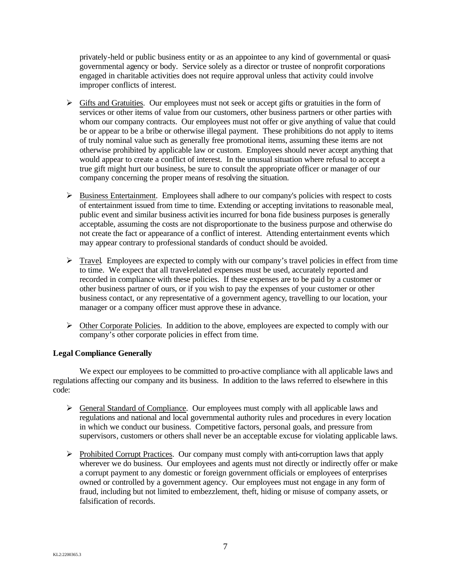privately-held or public business entity or as an appointee to any kind of governmental or quasigovernmental agency or body. Service solely as a director or trustee of nonprofit corporations engaged in charitable activities does not require approval unless that activity could involve improper conflicts of interest.

- $\triangleright$  Gifts and Gratuities. Our employees must not seek or accept gifts or gratuities in the form of services or other items of value from our customers, other business partners or other parties with whom our company contracts. Our employees must not offer or give anything of value that could be or appear to be a bribe or otherwise illegal payment. These prohibitions do not apply to items of truly nominal value such as generally free promotional items, assuming these items are not otherwise prohibited by applicable law or custom. Employees should never accept anything that would appear to create a conflict of interest. In the unusual situation where refusal to accept a true gift might hurt our business, be sure to consult the appropriate officer or manager of our company concerning the proper means of resolving the situation.
- $\triangleright$  Business Entertainment. Employees shall adhere to our company's policies with respect to costs of entertainment issued from time to time. Extending or accepting invitations to reasonable meal, public event and similar business activities incurred for bona fide business purposes is generally acceptable, assuming the costs are not disproportionate to the business purpose and otherwise do not create the fact or appearance of a conflict of interest. Attending entertainment events which may appear contrary to professional standards of conduct should be avoided.
- $\triangleright$  Travel. Employees are expected to comply with our company's travel policies in effect from time to time. We expect that all travel-related expenses must be used, accurately reported and recorded in compliance with these policies. If these expenses are to be paid by a customer or other business partner of ours, or if you wish to pay the expenses of your customer or other business contact, or any representative of a government agency, travelling to our location, your manager or a company officer must approve these in advance.
- $\triangleright$  Other Corporate Policies. In addition to the above, employees are expected to comply with our company's other corporate policies in effect from time.

### **Legal Compliance Generally**

We expect our employees to be committed to pro-active compliance with all applicable laws and regulations affecting our company and its business. In addition to the laws referred to elsewhere in this code:

- $\triangleright$  General Standard of Compliance. Our employees must comply with all applicable laws and regulations and national and local governmental authority rules and procedures in every location in which we conduct our business. Competitive factors, personal goals, and pressure from supervisors, customers or others shall never be an acceptable excuse for violating applicable laws.
- ÿ Prohibited Corrupt Practices. Our company must comply with anti-corruption laws that apply wherever we do business. Our employees and agents must not directly or indirectly offer or make a corrupt payment to any domestic or foreign government officials or employees of enterprises owned or controlled by a government agency. Our employees must not engage in any form of fraud, including but not limited to embezzlement, theft, hiding or misuse of company assets, or falsification of records.